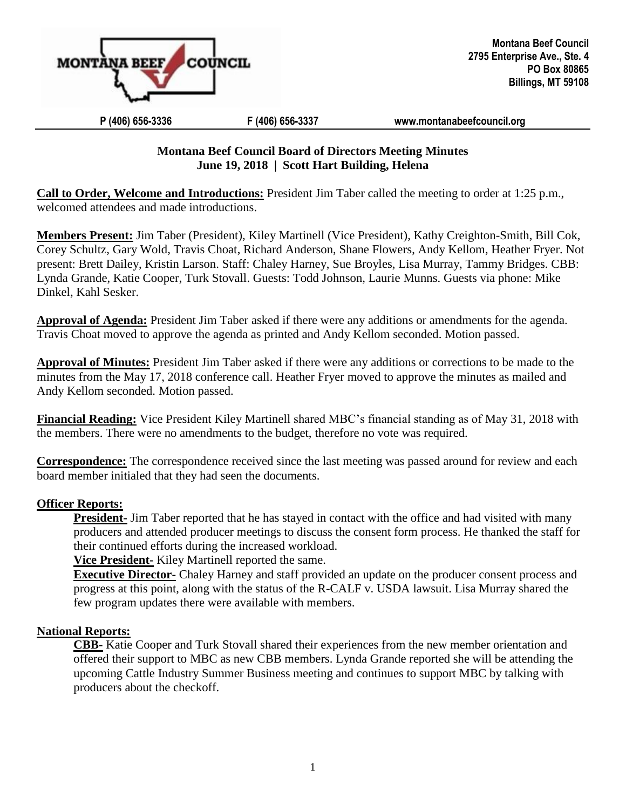

#### **P (406) 656-3336 F (406) 656-3337 [www.montanabeefcouncil.org](http://www.montanabeefcouncil.org/)**

## **Montana Beef Council Board of Directors Meeting Minutes June 19, 2018 | Scott Hart Building, Helena**

**Call to Order, Welcome and Introductions:** President Jim Taber called the meeting to order at 1:25 p.m., welcomed attendees and made introductions.

**Members Present:** Jim Taber (President), Kiley Martinell (Vice President), Kathy Creighton-Smith, Bill Cok, Corey Schultz, Gary Wold, Travis Choat, Richard Anderson, Shane Flowers, Andy Kellom, Heather Fryer. Not present: Brett Dailey, Kristin Larson. Staff: Chaley Harney, Sue Broyles, Lisa Murray, Tammy Bridges. CBB: Lynda Grande, Katie Cooper, Turk Stovall. Guests: Todd Johnson, Laurie Munns. Guests via phone: Mike Dinkel, Kahl Sesker.

**Approval of Agenda:** President Jim Taber asked if there were any additions or amendments for the agenda. Travis Choat moved to approve the agenda as printed and Andy Kellom seconded. Motion passed.

**Approval of Minutes:** President Jim Taber asked if there were any additions or corrections to be made to the minutes from the May 17, 2018 conference call. Heather Fryer moved to approve the minutes as mailed and Andy Kellom seconded. Motion passed.

**Financial Reading:** Vice President Kiley Martinell shared MBC's financial standing as of May 31, 2018 with the members. There were no amendments to the budget, therefore no vote was required.

**Correspondence:** The correspondence received since the last meeting was passed around for review and each board member initialed that they had seen the documents.

## **Officer Reports:**

**President-** Jim Taber reported that he has stayed in contact with the office and had visited with many producers and attended producer meetings to discuss the consent form process. He thanked the staff for their continued efforts during the increased workload.

**Vice President-** Kiley Martinell reported the same.

**Executive Director-** Chaley Harney and staff provided an update on the producer consent process and progress at this point, along with the status of the R-CALF v. USDA lawsuit. Lisa Murray shared the few program updates there were available with members.

#### **National Reports:**

**CBB-** Katie Cooper and Turk Stovall shared their experiences from the new member orientation and offered their support to MBC as new CBB members. Lynda Grande reported she will be attending the upcoming Cattle Industry Summer Business meeting and continues to support MBC by talking with producers about the checkoff.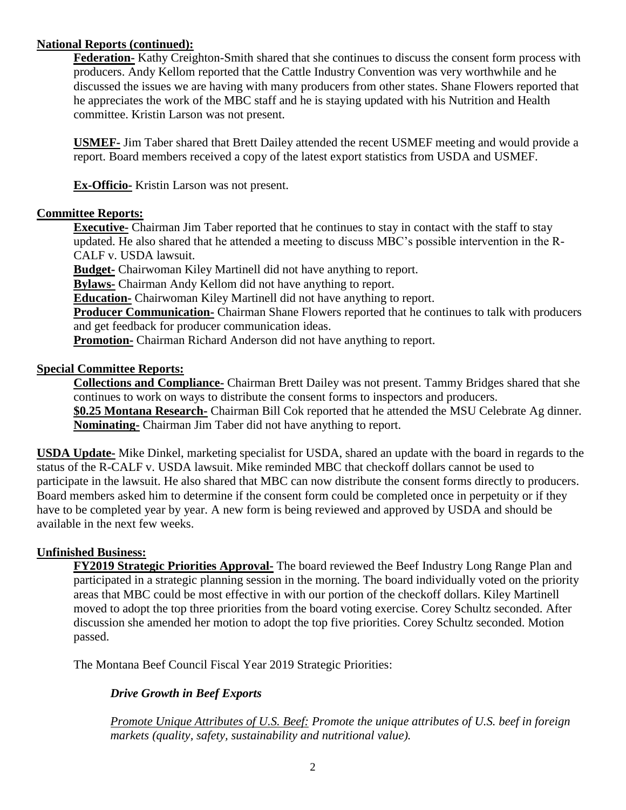## **National Reports (continued):**

**Federation-** Kathy Creighton-Smith shared that she continues to discuss the consent form process with producers. Andy Kellom reported that the Cattle Industry Convention was very worthwhile and he discussed the issues we are having with many producers from other states. Shane Flowers reported that he appreciates the work of the MBC staff and he is staying updated with his Nutrition and Health committee. Kristin Larson was not present.

**USMEF-** Jim Taber shared that Brett Dailey attended the recent USMEF meeting and would provide a report. Board members received a copy of the latest export statistics from USDA and USMEF.

**Ex-Officio-** Kristin Larson was not present.

## **Committee Reports:**

**Executive-** Chairman Jim Taber reported that he continues to stay in contact with the staff to stay updated. He also shared that he attended a meeting to discuss MBC's possible intervention in the R-CALF v. USDA lawsuit.

**Budget-** Chairwoman Kiley Martinell did not have anything to report.

**Bylaws-** Chairman Andy Kellom did not have anything to report.

**Education-** Chairwoman Kiley Martinell did not have anything to report.

**Producer Communication-** Chairman Shane Flowers reported that he continues to talk with producers and get feedback for producer communication ideas.

**Promotion-** Chairman Richard Anderson did not have anything to report.

## **Special Committee Reports:**

**Collections and Compliance-** Chairman Brett Dailey was not present. Tammy Bridges shared that she continues to work on ways to distribute the consent forms to inspectors and producers. **\$0.25 Montana Research-** Chairman Bill Cok reported that he attended the MSU Celebrate Ag dinner. **Nominating-** Chairman Jim Taber did not have anything to report.

**USDA Update-** Mike Dinkel, marketing specialist for USDA, shared an update with the board in regards to the status of the R-CALF v. USDA lawsuit. Mike reminded MBC that checkoff dollars cannot be used to participate in the lawsuit. He also shared that MBC can now distribute the consent forms directly to producers. Board members asked him to determine if the consent form could be completed once in perpetuity or if they have to be completed year by year. A new form is being reviewed and approved by USDA and should be available in the next few weeks.

# **Unfinished Business:**

**FY2019 Strategic Priorities Approval-** The board reviewed the Beef Industry Long Range Plan and participated in a strategic planning session in the morning. The board individually voted on the priority areas that MBC could be most effective in with our portion of the checkoff dollars. Kiley Martinell moved to adopt the top three priorities from the board voting exercise. Corey Schultz seconded. After discussion she amended her motion to adopt the top five priorities. Corey Schultz seconded. Motion passed.

The Montana Beef Council Fiscal Year 2019 Strategic Priorities:

# *Drive Growth in Beef Exports*

*Promote Unique Attributes of U.S. Beef: Promote the unique attributes of U.S. beef in foreign markets (quality, safety, sustainability and nutritional value).*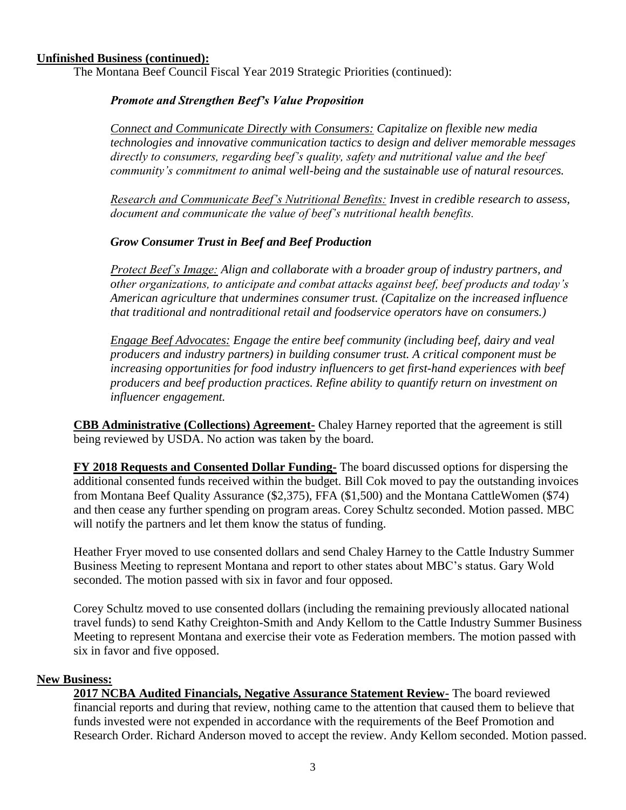#### **Unfinished Business (continued):**

The Montana Beef Council Fiscal Year 2019 Strategic Priorities (continued):

#### *Promote and Strengthen Beef's Value Proposition*

*Connect and Communicate Directly with Consumers: Capitalize on flexible new media technologies and innovative communication tactics to design and deliver memorable messages directly to consumers, regarding beef's quality, safety and nutritional value and the beef community's commitment to animal well-being and the sustainable use of natural resources.*

*Research and Communicate Beef's Nutritional Benefits: Invest in credible research to assess, document and communicate the value of beef's nutritional health benefits.*

#### *Grow Consumer Trust in Beef and Beef Production*

*Protect Beef's Image: Align and collaborate with a broader group of industry partners, and other organizations, to anticipate and combat attacks against beef, beef products and today's American agriculture that undermines consumer trust. (Capitalize on the increased influence that traditional and nontraditional retail and foodservice operators have on consumers.)*

*Engage Beef Advocates: Engage the entire beef community (including beef, dairy and veal producers and industry partners) in building consumer trust. A critical component must be increasing opportunities for food industry influencers to get first-hand experiences with beef producers and beef production practices. Refine ability to quantify return on investment on influencer engagement.*

**CBB Administrative (Collections) Agreement-** Chaley Harney reported that the agreement is still being reviewed by USDA. No action was taken by the board.

**FY 2018 Requests and Consented Dollar Funding-** The board discussed options for dispersing the additional consented funds received within the budget. Bill Cok moved to pay the outstanding invoices from Montana Beef Quality Assurance (\$2,375), FFA (\$1,500) and the Montana CattleWomen (\$74) and then cease any further spending on program areas. Corey Schultz seconded. Motion passed. MBC will notify the partners and let them know the status of funding.

Heather Fryer moved to use consented dollars and send Chaley Harney to the Cattle Industry Summer Business Meeting to represent Montana and report to other states about MBC's status. Gary Wold seconded. The motion passed with six in favor and four opposed.

Corey Schultz moved to use consented dollars (including the remaining previously allocated national travel funds) to send Kathy Creighton-Smith and Andy Kellom to the Cattle Industry Summer Business Meeting to represent Montana and exercise their vote as Federation members. The motion passed with six in favor and five opposed.

#### **New Business:**

**2017 NCBA Audited Financials, Negative Assurance Statement Review-** The board reviewed financial reports and during that review, nothing came to the attention that caused them to believe that funds invested were not expended in accordance with the requirements of the Beef Promotion and Research Order. Richard Anderson moved to accept the review. Andy Kellom seconded. Motion passed.